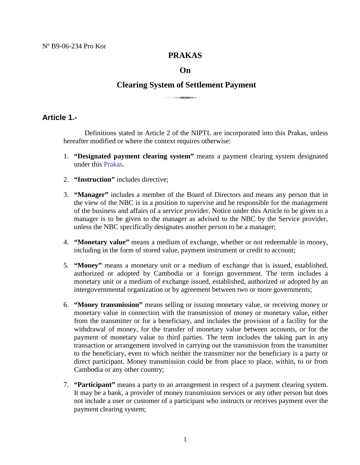## **PRAKAS**

#### **On**

# **Clearing System of Settlement Payment** <sup>3</sup>

## **Article 1.-**

Definitions stated in Article 2 of the NIPTL are incorporated into this Prakas, unless hereafter modified or where the context requires otherwise:

- 1. **"Designated payment clearing system"** means a payment clearing system designated under this Prakas.
- 2. **"Instruction"** includes directive;
- 3. **"Manager"** includes a member of the Board of Directors and means any person that in the view of the NBC is in a position to supervise and be responsible for the management of the business and affairs of a service provider. Notice under this Article to be given to a manager is to be given to the manager as advised to the NBC by the Service provider, unless the NBC specifically designates another person to be a manager;
- 4. **"Monetary value"** means a medium of exchange, whether or not redeemable in money, including in the form of stored value, payment instrument or credit to account;
- 5. **"Money"** means a monetary unit or a medium of exchange that is issued, established, authorized or adopted by Cambodia or a foreign government. The term includes a monetary unit or a medium of exchange issued, established, authorized or adopted by an intergovernmental organization or by agreement between two or more governments;
- 6. **"Money transmission"** means selling or issuing monetary value, or receiving money or monetary value in connection with the transmission of money or monetary value, either from the transmitter or for a beneficiary, and includes the provision of a facility for the withdrawal of money, for the transfer of monetary value between accounts, or for the payment of monetary value to third parties. The term includes the taking part in any transaction or arrangement involved in carrying out the transmission from the transmitter to the beneficiary, even to which neither the transmitter nor the beneficiary is a party or direct participant. Money transmission could be from place to place, within, to or from Cambodia or any other country;
- 7. **"Participant"** means a party to an arrangement in respect of a payment clearing system. It may be a bank, a provider of money transmission services or any other person but does not include a user or customer of a participant who instructs or receives payment over the payment clearing system;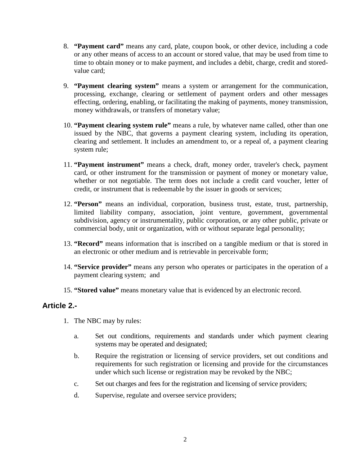- 8. **"Payment card"** means any card, plate, coupon book, or other device, including a code or any other means of access to an account or stored value, that may be used from time to time to obtain money or to make payment, and includes a debit, charge, credit and storedvalue card;
- 9. **"Payment clearing system"** means a system or arrangement for the communication, processing, exchange, clearing or settlement of payment orders and other messages effecting, ordering, enabling, or facilitating the making of payments, money transmission, money withdrawals, or transfers of monetary value;
- 10. **"Payment clearing system rule"** means a rule, by whatever name called, other than one issued by the NBC, that governs a payment clearing system, including its operation, clearing and settlement. It includes an amendment to, or a repeal of, a payment clearing system rule;
- 11. **"Payment instrument"** means a check, draft, money order, traveler's check, payment card, or other instrument for the transmission or payment of money or monetary value, whether or not negotiable. The term does not include a credit card voucher, letter of credit, or instrument that is redeemable by the issuer in goods or services;
- 12. **"Person"** means an individual, corporation, business trust, estate, trust, partnership, limited liability company, association, joint venture, government, governmental subdivision, agency or instrumentality, public corporation, or any other public, private or commercial body, unit or organization, with or without separate legal personality;
- 13. **"Record"** means information that is inscribed on a tangible medium or that is stored in an electronic or other medium and is retrievable in perceivable form;
- 14. **"Service provider"** means any person who operates or participates in the operation of a payment clearing system; and
- 15. **"Stored value"** means monetary value that is evidenced by an electronic record.

## **Article 2.-**

- 1. The NBC may by rules:
	- a. Set out conditions, requirements and standards under which payment clearing systems may be operated and designated;
	- b. Require the registration or licensing of service providers, set out conditions and requirements for such registration or licensing and provide for the circumstances under which such license or registration may be revoked by the NBC;
	- c. Set out charges and fees for the registration and licensing of service providers;
	- d. Supervise, regulate and oversee service providers;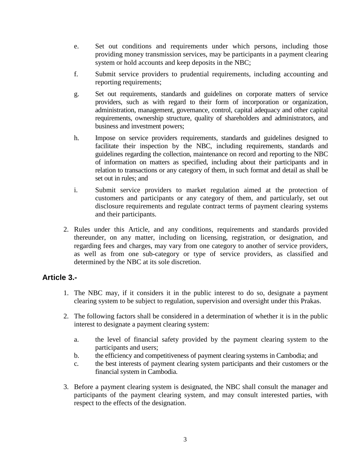- e. Set out conditions and requirements under which persons, including those providing money transmission services, may be participants in a payment clearing system or hold accounts and keep deposits in the NBC;
- f. Submit service providers to prudential requirements, including accounting and reporting requirements;
- g. Set out requirements, standards and guidelines on corporate matters of service providers, such as with regard to their form of incorporation or organization, administration, management, governance, control, capital adequacy and other capital requirements, ownership structure, quality of shareholders and administrators, and business and investment powers;
- h. Impose on service providers requirements, standards and guidelines designed to facilitate their inspection by the NBC, including requirements, standards and guidelines regarding the collection, maintenance on record and reporting to the NBC of information on matters as specified, including about their participants and in relation to transactions or any category of them, in such format and detail as shall be set out in rules; and
- i. Submit service providers to market regulation aimed at the protection of customers and participants or any category of them, and particularly, set out disclosure requirements and regulate contract terms of payment clearing systems and their participants.
- 2. Rules under this Article, and any conditions, requirements and standards provided thereunder, on any matter, including on licensing, registration, or designation, and regarding fees and charges, may vary from one category to another of service providers, as well as from one sub-category or type of service providers, as classified and determined by the NBC at its sole discretion.

## **Article 3.-**

- 1. The NBC may, if it considers it in the public interest to do so, designate a payment clearing system to be subject to regulation, supervision and oversight under this Prakas.
- 2. The following factors shall be considered in a determination of whether it is in the public interest to designate a payment clearing system:
	- a. the level of financial safety provided by the payment clearing system to the participants and users;
	- b. the efficiency and competitiveness of payment clearing systems in Cambodia; and
	- c. the best interests of payment clearing system participants and their customers or the financial system in Cambodia.
- 3. Before a payment clearing system is designated, the NBC shall consult the manager and participants of the payment clearing system, and may consult interested parties, with respect to the effects of the designation.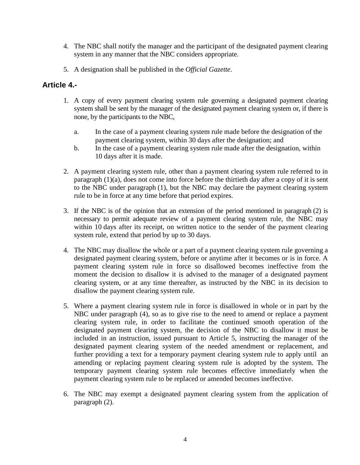- 4. The NBC shall notify the manager and the participant of the designated payment clearing system in any manner that the NBC considers appropriate.
- 5. A designation shall be published in the *Official Gazette*.

## **Article 4.-**

- 1. A copy of every payment clearing system rule governing a designated payment clearing system shall be sent by the manager of the designated payment clearing system or, if there is none, by the participants to the NBC,
	- a. In the case of a payment clearing system rule made before the designation of the payment clearing system, within 30 days after the designation; and
	- b. In the case of a payment clearing system rule made after the designation, within 10 days after it is made.
- 2. A payment clearing system rule, other than a payment clearing system rule referred to in paragraph (1)(a), does not come into force before the thirtieth day after a copy of it is sent to the NBC under paragraph (1), but the NBC may declare the payment clearing system rule to be in force at any time before that period expires.
- 3. If the NBC is of the opinion that an extension of the period mentioned in paragraph (2) is necessary to permit adequate review of a payment clearing system rule, the NBC may within 10 days after its receipt, on written notice to the sender of the payment clearing system rule, extend that period by up to 30 days.
- 4. The NBC may disallow the whole or a part of a payment clearing system rule governing a designated payment clearing system, before or anytime after it becomes or is in force. A payment clearing system rule in force so disallowed becomes ineffective from the moment the decision to disallow it is advised to the manager of a designated payment clearing system, or at any time thereafter, as instructed by the NBC in its decision to disallow the payment clearing system rule.
- 5. Where a payment clearing system rule in force is disallowed in whole or in part by the NBC under paragraph (4), so as to give rise to the need to amend or replace a payment clearing system rule, in order to facilitate the continued smooth operation of the designated payment clearing system, the decision of the NBC to disallow it must be included in an instruction, issued pursuant to Article 5, instructing the manager of the designated payment clearing system of the needed amendment or replacement, and further providing a text for a temporary payment clearing system rule to apply until an amending or replacing payment clearing system rule is adopted by the system. The temporary payment clearing system rule becomes effective immediately when the payment clearing system rule to be replaced or amended becomes ineffective.
- 6. The NBC may exempt a designated payment clearing system from the application of paragraph (2).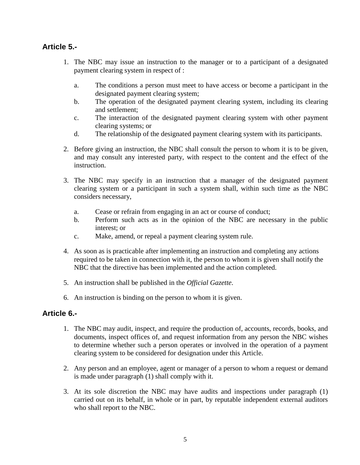## **Article 5.-**

- 1. The NBC may issue an instruction to the manager or to a participant of a designated payment clearing system in respect of :
	- a. The conditions a person must meet to have access or become a participant in the designated payment clearing system;
	- b. The operation of the designated payment clearing system, including its clearing and settlement;
	- c. The interaction of the designated payment clearing system with other payment clearing systems; or
	- d. The relationship of the designated payment clearing system with its participants.
- 2. Before giving an instruction, the NBC shall consult the person to whom it is to be given, and may consult any interested party, with respect to the content and the effect of the instruction.
- 3. The NBC may specify in an instruction that a manager of the designated payment clearing system or a participant in such a system shall, within such time as the NBC considers necessary,
	- a. Cease or refrain from engaging in an act or course of conduct;
	- b. Perform such acts as in the opinion of the NBC are necessary in the public interest; or
	- c. Make, amend, or repeal a payment clearing system rule.
- 4. As soon as is practicable after implementing an instruction and completing any actions required to be taken in connection with it, the person to whom it is given shall notify the NBC that the directive has been implemented and the action completed.
- 5. An instruction shall be published in the *Official Gazette*.
- 6. An instruction is binding on the person to whom it is given.

## **Article 6.-**

- 1. The NBC may audit, inspect, and require the production of, accounts, records, books, and documents, inspect offices of, and request information from any person the NBC wishes to determine whether such a person operates or involved in the operation of a payment clearing system to be considered for designation under this Article.
- 2. Any person and an employee, agent or manager of a person to whom a request or demand is made under paragraph (1) shall comply with it.
- 3. At its sole discretion the NBC may have audits and inspections under paragraph (1) carried out on its behalf, in whole or in part, by reputable independent external auditors who shall report to the NBC.